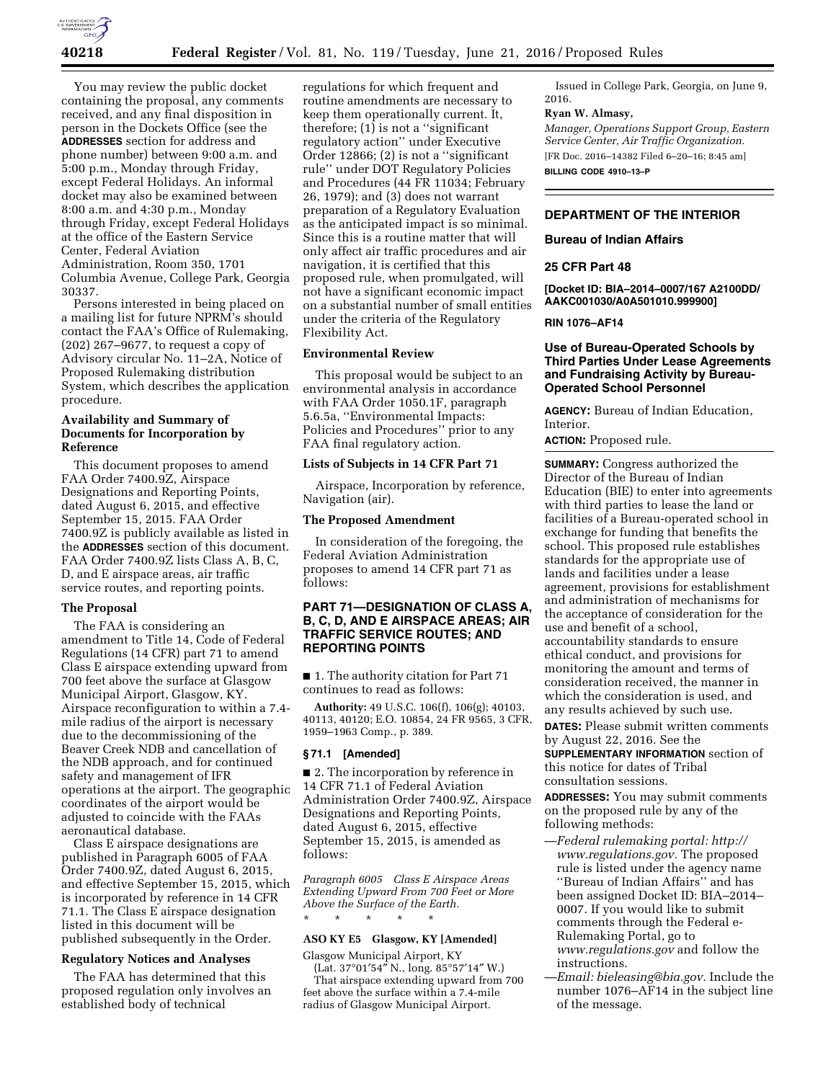

You may review the public docket containing the proposal, any comments received, and any final disposition in person in the Dockets Office (see the **ADDRESSES** section for address and phone number) between 9:00 a.m. and 5:00 p.m., Monday through Friday, except Federal Holidays. An informal docket may also be examined between 8:00 a.m. and 4:30 p.m., Monday through Friday, except Federal Holidays at the office of the Eastern Service Center, Federal Aviation Administration, Room 350, 1701 Columbia Avenue, College Park, Georgia 30337.

Persons interested in being placed on a mailing list for future NPRM's should contact the FAA's Office of Rulemaking, (202) 267–9677, to request a copy of Advisory circular No. 11–2A, Notice of Proposed Rulemaking distribution System, which describes the application procedure.

# **Availability and Summary of Documents for Incorporation by Reference**

This document proposes to amend FAA Order 7400.9Z, Airspace Designations and Reporting Points, dated August 6, 2015, and effective September 15, 2015. FAA Order 7400.9Z is publicly available as listed in the **ADDRESSES** section of this document. FAA Order 7400.9Z lists Class A, B, C, D, and E airspace areas, air traffic service routes, and reporting points.

# **The Proposal**

The FAA is considering an amendment to Title 14, Code of Federal Regulations (14 CFR) part 71 to amend Class E airspace extending upward from 700 feet above the surface at Glasgow Municipal Airport, Glasgow, KY. Airspace reconfiguration to within a 7.4 mile radius of the airport is necessary due to the decommissioning of the Beaver Creek NDB and cancellation of the NDB approach, and for continued safety and management of IFR operations at the airport. The geographic coordinates of the airport would be adjusted to coincide with the FAAs aeronautical database.

Class E airspace designations are published in Paragraph 6005 of FAA Order 7400.9Z, dated August 6, 2015, and effective September 15, 2015, which is incorporated by reference in 14 CFR 71.1. The Class E airspace designation listed in this document will be published subsequently in the Order.

# **Regulatory Notices and Analyses**

The FAA has determined that this proposed regulation only involves an established body of technical

regulations for which frequent and routine amendments are necessary to keep them operationally current. It, therefore; (1) is not a ''significant regulatory action'' under Executive Order 12866; (2) is not a ''significant rule'' under DOT Regulatory Policies and Procedures (44 FR 11034; February 26, 1979); and (3) does not warrant preparation of a Regulatory Evaluation as the anticipated impact is so minimal. Since this is a routine matter that will only affect air traffic procedures and air navigation, it is certified that this proposed rule, when promulgated, will not have a significant economic impact on a substantial number of small entities under the criteria of the Regulatory Flexibility Act.

## **Environmental Review**

This proposal would be subject to an environmental analysis in accordance with FAA Order 1050.1F, paragraph 5.6.5a, ''Environmental Impacts: Policies and Procedures'' prior to any FAA final regulatory action.

## **Lists of Subjects in 14 CFR Part 71**

Airspace, Incorporation by reference, Navigation (air).

## **The Proposed Amendment**

In consideration of the foregoing, the Federal Aviation Administration proposes to amend 14 CFR part 71 as follows:

# **PART 71—DESIGNATION OF CLASS A, B, C, D, AND E AIRSPACE AREAS; AIR TRAFFIC SERVICE ROUTES; AND REPORTING POINTS**

■ 1. The authority citation for Part 71 continues to read as follows:

**Authority:** 49 U.S.C. 106(f), 106(g); 40103, 40113, 40120; E.O. 10854, 24 FR 9565, 3 CFR, 1959–1963 Comp., p. 389.

### **§ 71.1 [Amended]**

■ 2. The incorporation by reference in 14 CFR 71.1 of Federal Aviation Administration Order 7400.9Z, Airspace Designations and Reporting Points, dated August 6, 2015, effective September 15, 2015, is amended as follows:

*Paragraph 6005 Class E Airspace Areas Extending Upward From 700 Feet or More Above the Surface of the Earth.*  \* \* \* \* \*

# **ASO KY E5 Glasgow, KY [Amended]**

Glasgow Municipal Airport, KY

(Lat. 37°01′54″ N., long. 85°57′14″ W.) That airspace extending upward from 700 feet above the surface within a 7.4-mile radius of Glasgow Municipal Airport.

Issued in College Park, Georgia, on June 9, 2016.

### **Ryan W. Almasy,**

*Manager, Operations Support Group, Eastern Service Center, Air Traffic Organization.*  [FR Doc. 2016–14382 Filed 6–20–16; 8:45 am]

**BILLING CODE 4910–13–P** 

# **DEPARTMENT OF THE INTERIOR**

**Bureau of Indian Affairs** 

# **25 CFR Part 48**

**[Docket ID: BIA–2014–0007/167 A2100DD/ AAKC001030/A0A501010.999900]** 

**RIN 1076–AF14** 

### **Use of Bureau-Operated Schools by Third Parties Under Lease Agreements and Fundraising Activity by Bureau-Operated School Personnel**

**AGENCY:** Bureau of Indian Education, Interior.

**ACTION:** Proposed rule.

**SUMMARY:** Congress authorized the Director of the Bureau of Indian Education (BIE) to enter into agreements with third parties to lease the land or facilities of a Bureau-operated school in exchange for funding that benefits the school. This proposed rule establishes standards for the appropriate use of lands and facilities under a lease agreement, provisions for establishment and administration of mechanisms for the acceptance of consideration for the use and benefit of a school, accountability standards to ensure ethical conduct, and provisions for monitoring the amount and terms of consideration received, the manner in which the consideration is used, and any results achieved by such use.

**DATES:** Please submit written comments by August 22, 2016. See the **SUPPLEMENTARY INFORMATION** section of this notice for dates of Tribal consultation sessions.

**ADDRESSES:** You may submit comments on the proposed rule by any of the following methods:

- —*Federal rulemaking portal: [http://](http://www.regulations.gov) [www.regulations.gov.](http://www.regulations.gov)* The proposed rule is listed under the agency name ''Bureau of Indian Affairs'' and has been assigned Docket ID: BIA–2014– 0007. If you would like to submit comments through the Federal e-Rulemaking Portal, go to *[www.regulations.gov](http://www.regulations.gov)* and follow the instructions.
- —*Email: [bieleasing@bia.gov.](mailto:bieleasing@bia.gov)* Include the number 1076–AF14 in the subject line of the message.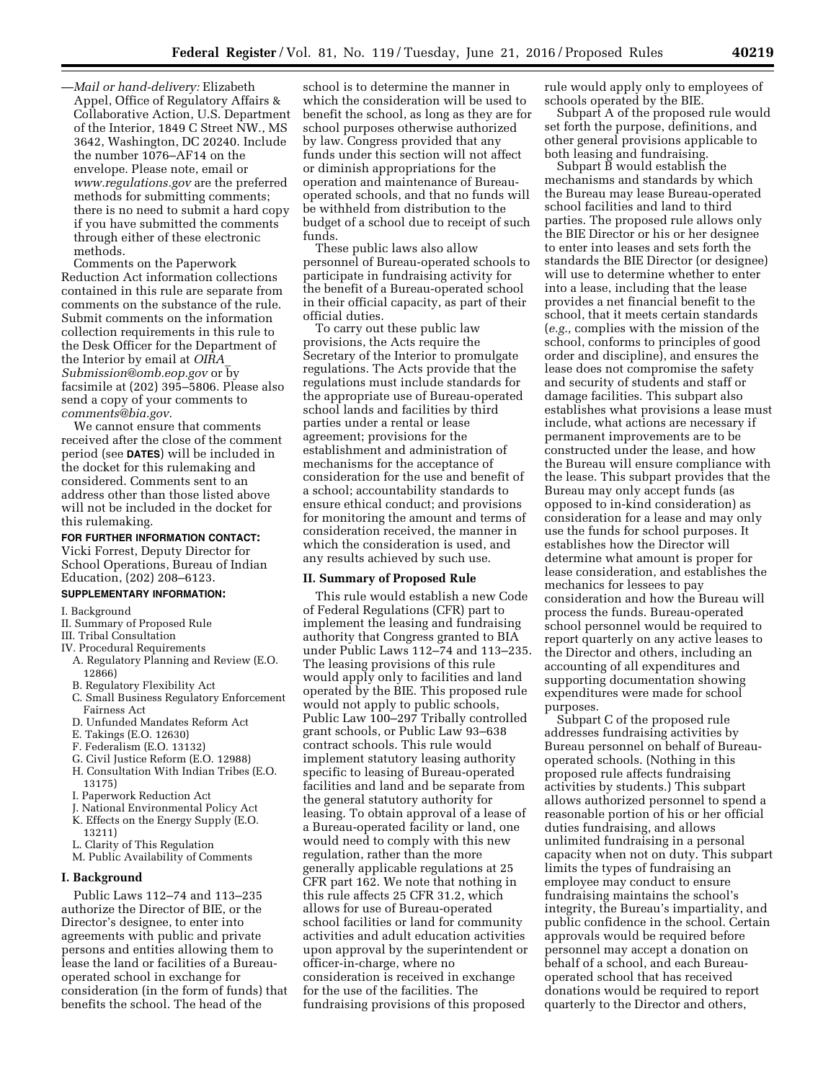—*Mail or hand-delivery:* Elizabeth Appel, Office of Regulatory Affairs & Collaborative Action, U.S. Department of the Interior, 1849 C Street NW., MS 3642, Washington, DC 20240. Include the number 1076–AF14 on the envelope. Please note, email or *[www.regulations.gov](http://www.regulations.gov)* are the preferred methods for submitting comments; there is no need to submit a hard copy if you have submitted the comments through either of these electronic methods.

Comments on the Paperwork Reduction Act information collections contained in this rule are separate from comments on the substance of the rule. Submit comments on the information collection requirements in this rule to the Desk Officer for the Department of the Interior by email at *[OIRA](mailto:OIRA_Submission@omb.eop.gov)*\_ *[Submission@omb.eop.gov](mailto:OIRA_Submission@omb.eop.gov)* or by facsimile at (202) 395–5806. Please also send a copy of your comments to *[comments@bia.gov.](mailto:comments@bia.gov)* 

We cannot ensure that comments received after the close of the comment period (see **DATES**) will be included in the docket for this rulemaking and considered. Comments sent to an address other than those listed above will not be included in the docket for this rulemaking.

#### **FOR FURTHER INFORMATION CONTACT:**

Vicki Forrest, Deputy Director for School Operations, Bureau of Indian Education, (202) 208–6123.

### **SUPPLEMENTARY INFORMATION:**

I. Background

- II. Summary of Proposed Rule
- III. Tribal Consultation
- IV. Procedural Requirements
- A. Regulatory Planning and Review (E.O. 12866)
- B. Regulatory Flexibility Act
- C. Small Business Regulatory Enforcement Fairness Act
- D. Unfunded Mandates Reform Act
- E. Takings (E.O. 12630)
- F. Federalism (E.O. 13132)
- G. Civil Justice Reform (E.O. 12988) H. Consultation With Indian Tribes (E.O. 13175)
- I. Paperwork Reduction Act
- J. National Environmental Policy Act
- K. Effects on the Energy Supply (E.O.
- 13211)
- L. Clarity of This Regulation
- M. Public Availability of Comments

#### **I. Background**

Public Laws 112–74 and 113–235 authorize the Director of BIE, or the Director's designee, to enter into agreements with public and private persons and entities allowing them to lease the land or facilities of a Bureauoperated school in exchange for consideration (in the form of funds) that benefits the school. The head of the

school is to determine the manner in which the consideration will be used to benefit the school, as long as they are for school purposes otherwise authorized by law. Congress provided that any funds under this section will not affect or diminish appropriations for the operation and maintenance of Bureauoperated schools, and that no funds will be withheld from distribution to the budget of a school due to receipt of such funds.

These public laws also allow personnel of Bureau-operated schools to participate in fundraising activity for the benefit of a Bureau-operated school in their official capacity, as part of their official duties.

To carry out these public law provisions, the Acts require the Secretary of the Interior to promulgate regulations. The Acts provide that the regulations must include standards for the appropriate use of Bureau-operated school lands and facilities by third parties under a rental or lease agreement; provisions for the establishment and administration of mechanisms for the acceptance of consideration for the use and benefit of a school; accountability standards to ensure ethical conduct; and provisions for monitoring the amount and terms of consideration received, the manner in which the consideration is used, and any results achieved by such use.

#### **II. Summary of Proposed Rule**

This rule would establish a new Code of Federal Regulations (CFR) part to implement the leasing and fundraising authority that Congress granted to BIA under Public Laws 112–74 and 113–235. The leasing provisions of this rule would apply only to facilities and land operated by the BIE. This proposed rule would not apply to public schools, Public Law 100–297 Tribally controlled grant schools, or Public Law 93–638 contract schools. This rule would implement statutory leasing authority specific to leasing of Bureau-operated facilities and land and be separate from the general statutory authority for leasing. To obtain approval of a lease of a Bureau-operated facility or land, one would need to comply with this new regulation, rather than the more generally applicable regulations at 25 CFR part 162. We note that nothing in this rule affects 25 CFR 31.2, which allows for use of Bureau-operated school facilities or land for community activities and adult education activities upon approval by the superintendent or officer-in-charge, where no consideration is received in exchange for the use of the facilities. The fundraising provisions of this proposed

rule would apply only to employees of schools operated by the BIE.

Subpart A of the proposed rule would set forth the purpose, definitions, and other general provisions applicable to both leasing and fundraising.

Subpart B would establish the mechanisms and standards by which the Bureau may lease Bureau-operated school facilities and land to third parties. The proposed rule allows only the BIE Director or his or her designee to enter into leases and sets forth the standards the BIE Director (or designee) will use to determine whether to enter into a lease, including that the lease provides a net financial benefit to the school, that it meets certain standards (*e.g.,* complies with the mission of the school, conforms to principles of good order and discipline), and ensures the lease does not compromise the safety and security of students and staff or damage facilities. This subpart also establishes what provisions a lease must include, what actions are necessary if permanent improvements are to be constructed under the lease, and how the Bureau will ensure compliance with the lease. This subpart provides that the Bureau may only accept funds (as opposed to in-kind consideration) as consideration for a lease and may only use the funds for school purposes. It establishes how the Director will determine what amount is proper for lease consideration, and establishes the mechanics for lessees to pay consideration and how the Bureau will process the funds. Bureau-operated school personnel would be required to report quarterly on any active leases to the Director and others, including an accounting of all expenditures and supporting documentation showing expenditures were made for school purposes.

Subpart C of the proposed rule addresses fundraising activities by Bureau personnel on behalf of Bureauoperated schools. (Nothing in this proposed rule affects fundraising activities by students.) This subpart allows authorized personnel to spend a reasonable portion of his or her official duties fundraising, and allows unlimited fundraising in a personal capacity when not on duty. This subpart limits the types of fundraising an employee may conduct to ensure fundraising maintains the school's integrity, the Bureau's impartiality, and public confidence in the school. Certain approvals would be required before personnel may accept a donation on behalf of a school, and each Bureauoperated school that has received donations would be required to report quarterly to the Director and others,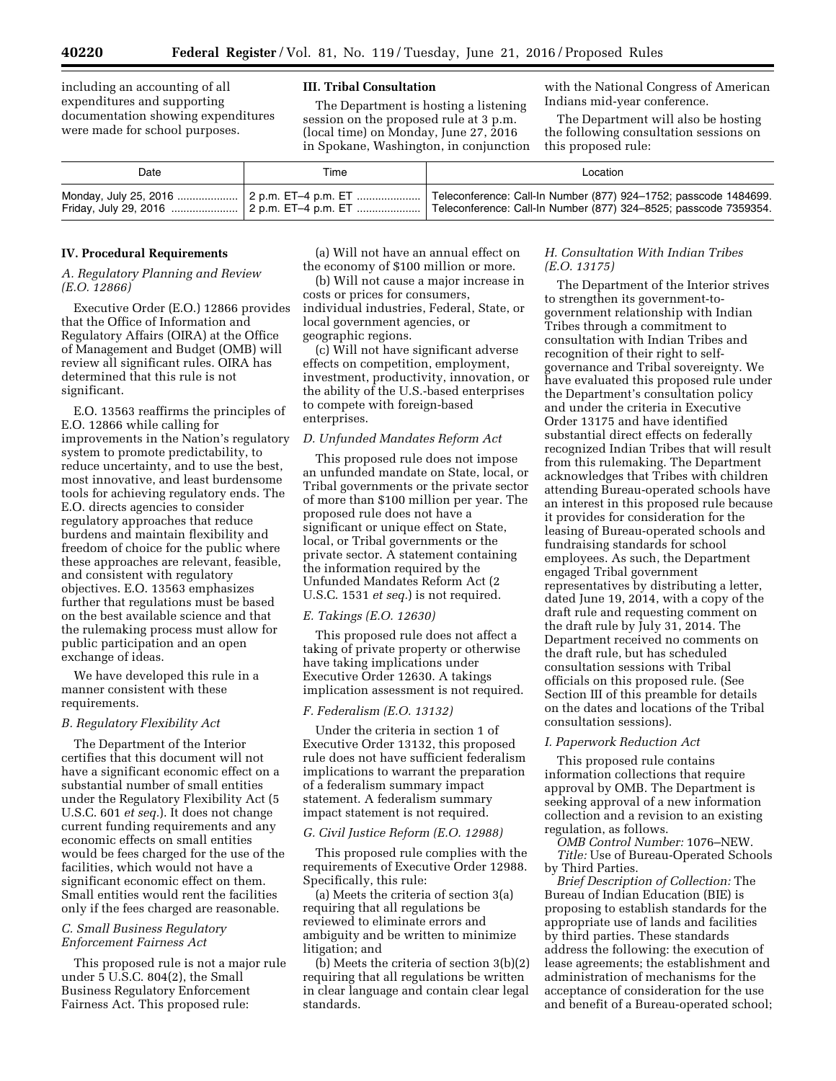including an accounting of all expenditures and supporting documentation showing expenditures were made for school purposes.

### **III. Tribal Consultation**

The Department is hosting a listening session on the proposed rule at 3 p.m. (local time) on Monday, June 27, 2016 in Spokane, Washington, in conjunction with the National Congress of American Indians mid-year conference.

The Department will also be hosting the following consultation sessions on this proposed rule:

| Date | Гіmе | Location                                                                                                                             |
|------|------|--------------------------------------------------------------------------------------------------------------------------------------|
|      |      | Teleconference: Call-In Number (877) 924–1752; passcode 1484699.<br>Teleconference: Call-In Number (877) 324-8525; passcode 7359354. |

## **IV. Procedural Requirements**

## *A. Regulatory Planning and Review (E.O. 12866)*

Executive Order (E.O.) 12866 provides that the Office of Information and Regulatory Affairs (OIRA) at the Office of Management and Budget (OMB) will review all significant rules. OIRA has determined that this rule is not significant.

E.O. 13563 reaffirms the principles of E.O. 12866 while calling for improvements in the Nation's regulatory system to promote predictability, to reduce uncertainty, and to use the best, most innovative, and least burdensome tools for achieving regulatory ends. The E.O. directs agencies to consider regulatory approaches that reduce burdens and maintain flexibility and freedom of choice for the public where these approaches are relevant, feasible, and consistent with regulatory objectives. E.O. 13563 emphasizes further that regulations must be based on the best available science and that the rulemaking process must allow for public participation and an open exchange of ideas.

We have developed this rule in a manner consistent with these requirements.

#### *B. Regulatory Flexibility Act*

The Department of the Interior certifies that this document will not have a significant economic effect on a substantial number of small entities under the Regulatory Flexibility Act (5 U.S.C. 601 *et seq.*). It does not change current funding requirements and any economic effects on small entities would be fees charged for the use of the facilities, which would not have a significant economic effect on them. Small entities would rent the facilities only if the fees charged are reasonable.

# *C. Small Business Regulatory Enforcement Fairness Act*

This proposed rule is not a major rule under 5 U.S.C. 804(2), the Small Business Regulatory Enforcement Fairness Act. This proposed rule:

(a) Will not have an annual effect on the economy of \$100 million or more.

(b) Will not cause a major increase in costs or prices for consumers, individual industries, Federal, State, or local government agencies, or geographic regions.

(c) Will not have significant adverse effects on competition, employment, investment, productivity, innovation, or the ability of the U.S.-based enterprises to compete with foreign-based enterprises.

# *D. Unfunded Mandates Reform Act*

This proposed rule does not impose an unfunded mandate on State, local, or Tribal governments or the private sector of more than \$100 million per year. The proposed rule does not have a significant or unique effect on State, local, or Tribal governments or the private sector. A statement containing the information required by the Unfunded Mandates Reform Act (2 U.S.C. 1531 *et seq.*) is not required.

#### *E. Takings (E.O. 12630)*

This proposed rule does not affect a taking of private property or otherwise have taking implications under Executive Order 12630. A takings implication assessment is not required.

### *F. Federalism (E.O. 13132)*

Under the criteria in section 1 of Executive Order 13132, this proposed rule does not have sufficient federalism implications to warrant the preparation of a federalism summary impact statement. A federalism summary impact statement is not required.

#### *G. Civil Justice Reform (E.O. 12988)*

This proposed rule complies with the requirements of Executive Order 12988. Specifically, this rule:

(a) Meets the criteria of section 3(a) requiring that all regulations be reviewed to eliminate errors and ambiguity and be written to minimize litigation; and

(b) Meets the criteria of section 3(b)(2) requiring that all regulations be written in clear language and contain clear legal standards.

# *H. Consultation With Indian Tribes (E.O. 13175)*

The Department of the Interior strives to strengthen its government-togovernment relationship with Indian Tribes through a commitment to consultation with Indian Tribes and recognition of their right to selfgovernance and Tribal sovereignty. We have evaluated this proposed rule under the Department's consultation policy and under the criteria in Executive Order 13175 and have identified substantial direct effects on federally recognized Indian Tribes that will result from this rulemaking. The Department acknowledges that Tribes with children attending Bureau-operated schools have an interest in this proposed rule because it provides for consideration for the leasing of Bureau-operated schools and fundraising standards for school employees. As such, the Department engaged Tribal government representatives by distributing a letter, dated June 19, 2014, with a copy of the draft rule and requesting comment on the draft rule by July 31, 2014. The Department received no comments on the draft rule, but has scheduled consultation sessions with Tribal officials on this proposed rule. (See Section III of this preamble for details on the dates and locations of the Tribal consultation sessions).

### *I. Paperwork Reduction Act*

This proposed rule contains information collections that require approval by OMB. The Department is seeking approval of a new information collection and a revision to an existing regulation, as follows.

*OMB Control Number:* 1076–NEW. *Title:* Use of Bureau-Operated Schools by Third Parties.

*Brief Description of Collection:* The Bureau of Indian Education (BIE) is proposing to establish standards for the appropriate use of lands and facilities by third parties. These standards address the following: the execution of lease agreements; the establishment and administration of mechanisms for the acceptance of consideration for the use and benefit of a Bureau-operated school;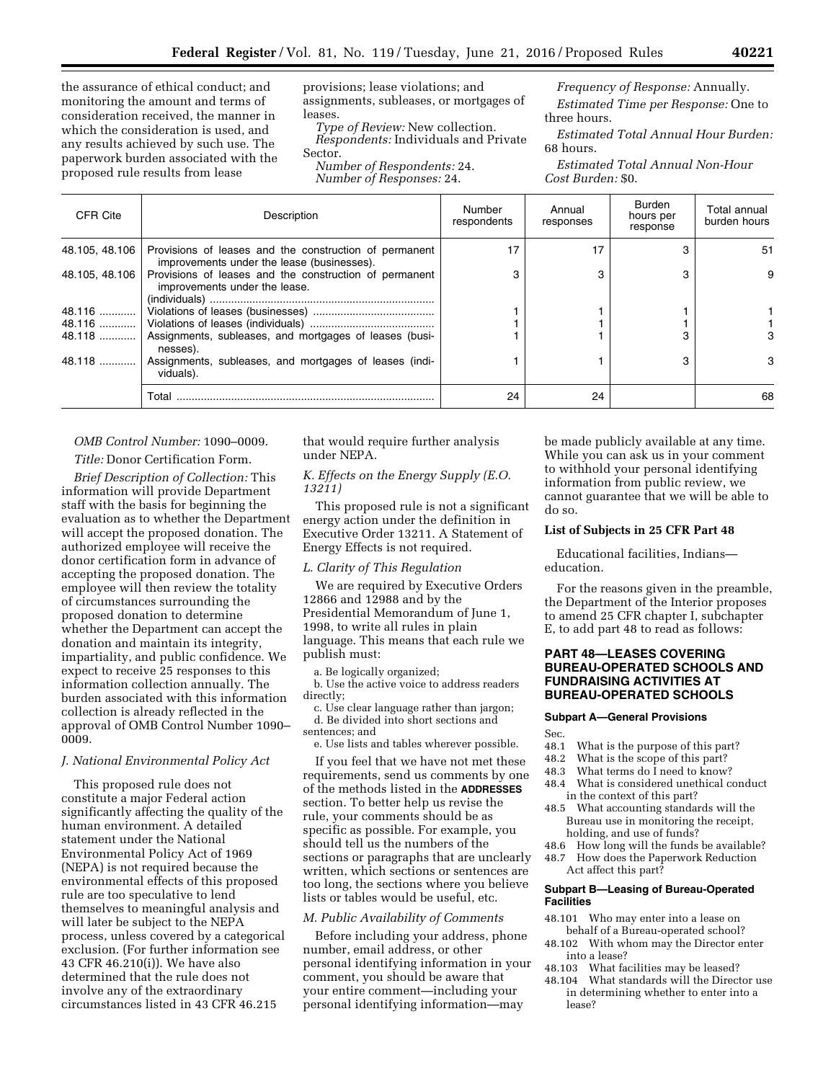the assurance of ethical conduct; and monitoring the amount and terms of consideration received, the manner in which the consideration is used, and any results achieved by such use. The paperwork burden associated with the proposed rule results from lease

provisions; lease violations; and assignments, subleases, or mortgages of leases.

*Type of Review:* New collection. *Respondents:* Individuals and Private Sector.

*Number of Respondents:* 24.

*Number of Responses:* 24.

*Frequency of Response:* Annually. *Estimated Time per Response:* One to three hours.

*Estimated Total Annual Hour Burden:*  68 hours.

*Estimated Total Annual Non-Hour Cost Burden:* \$0.

| CFR Cite       | Description                                                                                              | Number<br>respondents | Annual<br>responses | Burden<br>hours per<br>response | Total annual<br>burden hours |
|----------------|----------------------------------------------------------------------------------------------------------|-----------------------|---------------------|---------------------------------|------------------------------|
| 48.105, 48.106 | Provisions of leases and the construction of permanent<br>improvements under the lease (businesses).     | 17                    | 17                  |                                 | -51                          |
|                | 48.105, 48.106   Provisions of leases and the construction of permanent<br>improvements under the lease. |                       | з                   |                                 | 9                            |
|                |                                                                                                          |                       |                     |                                 |                              |
|                |                                                                                                          |                       |                     |                                 |                              |
|                | 48.118  Assignments, subleases, and mortgages of leases (busi-<br>nesses).                               |                       |                     |                                 |                              |
| 48.118         | Assignments, subleases, and mortgages of leases (indi-<br>viduals).                                      |                       |                     |                                 | 3                            |
|                | Total                                                                                                    | 24                    | 24                  |                                 | 68                           |

*OMB Control Number:* 1090–0009.

*Title:* Donor Certification Form.

*Brief Description of Collection:* This information will provide Department staff with the basis for beginning the evaluation as to whether the Department will accept the proposed donation. The authorized employee will receive the donor certification form in advance of accepting the proposed donation. The employee will then review the totality of circumstances surrounding the proposed donation to determine whether the Department can accept the donation and maintain its integrity, impartiality, and public confidence. We expect to receive 25 responses to this information collection annually. The burden associated with this information collection is already reflected in the approval of OMB Control Number 1090– 0009.

# *J. National Environmental Policy Act*

This proposed rule does not constitute a major Federal action significantly affecting the quality of the human environment. A detailed statement under the National Environmental Policy Act of 1969 (NEPA) is not required because the environmental effects of this proposed rule are too speculative to lend themselves to meaningful analysis and will later be subject to the NEPA process, unless covered by a categorical exclusion. (For further information see 43 CFR 46.210(i)). We have also determined that the rule does not involve any of the extraordinary circumstances listed in 43 CFR 46.215

that would require further analysis under NEPA.

# *K. Effects on the Energy Supply (E.O. 13211)*

This proposed rule is not a significant energy action under the definition in Executive Order 13211. A Statement of Energy Effects is not required.

### *L. Clarity of This Regulation*

We are required by Executive Orders 12866 and 12988 and by the Presidential Memorandum of June 1, 1998, to write all rules in plain language. This means that each rule we publish must:

a. Be logically organized;

b. Use the active voice to address readers directly;

- c. Use clear language rather than jargon; d. Be divided into short sections and sentences; and
	- e. Use lists and tables wherever possible.

If you feel that we have not met these requirements, send us comments by one of the methods listed in the **ADDRESSES** section. To better help us revise the rule, your comments should be as specific as possible. For example, you should tell us the numbers of the sections or paragraphs that are unclearly written, which sections or sentences are too long, the sections where you believe lists or tables would be useful, etc.

#### *M. Public Availability of Comments*

Before including your address, phone number, email address, or other personal identifying information in your comment, you should be aware that your entire comment—including your personal identifying information—may

be made publicly available at any time. While you can ask us in your comment to withhold your personal identifying information from public review, we cannot guarantee that we will be able to do so.

### **List of Subjects in 25 CFR Part 48**

Educational facilities, Indians education.

For the reasons given in the preamble, the Department of the Interior proposes to amend 25 CFR chapter I, subchapter E, to add part 48 to read as follows:

# **PART 48—LEASES COVERING BUREAU-OPERATED SCHOOLS AND FUNDRAISING ACTIVITIES AT BUREAU-OPERATED SCHOOLS**

#### **Subpart A—General Provisions**

Sec.

- 48.1 What is the purpose of this part?
- 48.2 What is the scope of this part?<br>48.3 What terms do I need to know?
- What terms do  $\overline{I}$  need to know?
- 48.4 What is considered unethical conduct in the context of this part?
- 48.5 What accounting standards will the Bureau use in monitoring the receipt, holding, and use of funds?
- 48.6 How long will the funds be available?
- 48.7 How does the Paperwork Reduction Act affect this part?

# **Subpart B—Leasing of Bureau-Operated Facilities**

- 48.101 Who may enter into a lease on behalf of a Bureau-operated school?
- 48.102 With whom may the Director enter into a lease?
- 48.103 What facilities may be leased?
- 48.104 What standards will the Director use in determining whether to enter into a lease?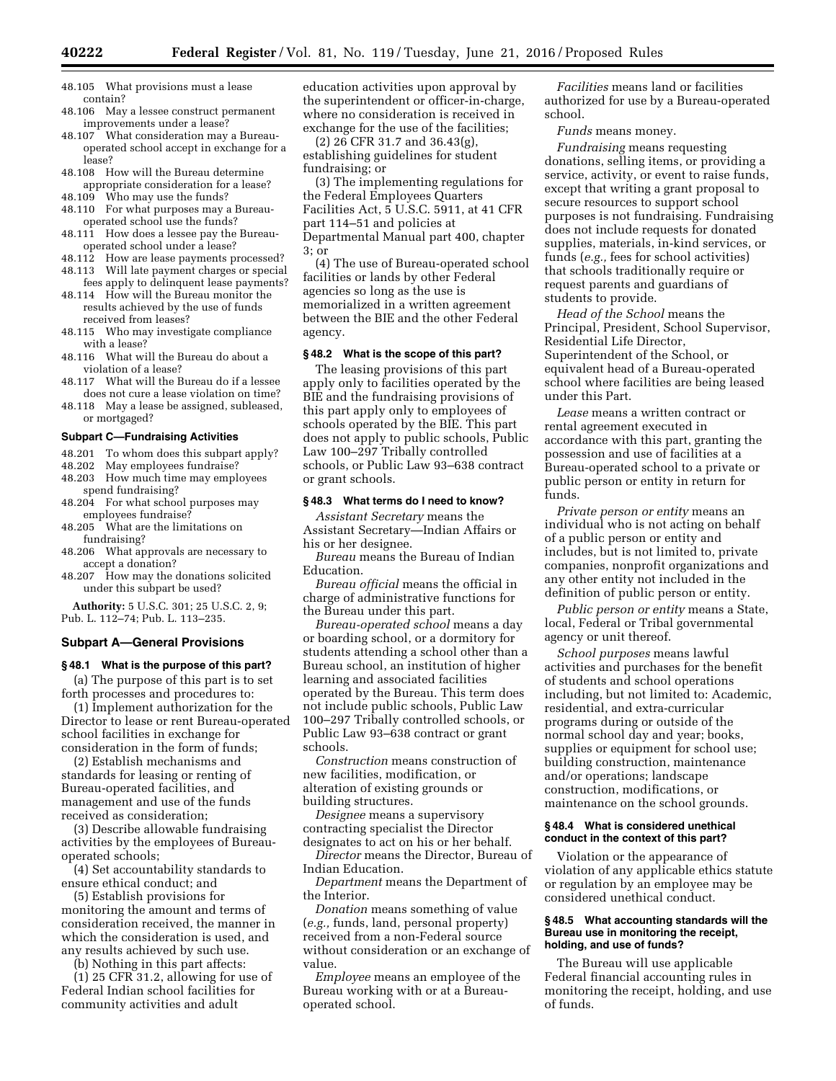- 48.105 What provisions must a lease contain?
- 48.106 May a lessee construct permanent improvements under a lease?
- 48.107 What consideration may a Bureauoperated school accept in exchange for a lease?
- 48.108 How will the Bureau determine appropriate consideration for a lease?
- 48.109 Who may use the funds? 48.110 For what purposes may a Bureau-
- operated school use the funds? 48.111 How does a lessee pay the Bureauoperated school under a lease?
- 48.112 How are lease payments processed?
- 48.113 Will late payment charges or special fees apply to delinquent lease payments?
- 48.114 How will the Bureau monitor the results achieved by the use of funds received from leases?
- 48.115 Who may investigate compliance with a lease?
- 48.116 What will the Bureau do about a violation of a lease?
- 48.117 What will the Bureau do if a lessee does not cure a lease violation on time?
- 48.118 May a lease be assigned, subleased, or mortgaged?

#### **Subpart C—Fundraising Activities**

- 48.201 To whom does this subpart apply?
- 48.202 May employees fundraise?
- 48.203 How much time may employees spend fundraising?
- 48.204 For what school purposes may employees fundraise?
- 48.205 What are the limitations on fundraising?
- 48.206 What approvals are necessary to accept a donation?
- 48.207 How may the donations solicited under this subpart be used?

**Authority:** 5 U.S.C. 301; 25 U.S.C. 2, 9; Pub. L. 112–74; Pub. L. 113–235.

#### **Subpart A—General Provisions**

#### **§ 48.1 What is the purpose of this part?**

(a) The purpose of this part is to set forth processes and procedures to:

(1) Implement authorization for the Director to lease or rent Bureau-operated school facilities in exchange for consideration in the form of funds;

(2) Establish mechanisms and standards for leasing or renting of Bureau-operated facilities, and management and use of the funds received as consideration;

(3) Describe allowable fundraising activities by the employees of Bureauoperated schools;

(4) Set accountability standards to ensure ethical conduct; and

(5) Establish provisions for monitoring the amount and terms of consideration received, the manner in which the consideration is used, and any results achieved by such use.

(b) Nothing in this part affects:

(1) 25 CFR 31.2, allowing for use of Federal Indian school facilities for community activities and adult

education activities upon approval by the superintendent or officer-in-charge, where no consideration is received in exchange for the use of the facilities;

(2) 26 CFR 31.7 and 36.43(g), establishing guidelines for student fundraising; or

(3) The implementing regulations for the Federal Employees Quarters Facilities Act, 5 U.S.C. 5911, at 41 CFR part 114–51 and policies at Departmental Manual part 400, chapter 3; or

(4) The use of Bureau-operated school facilities or lands by other Federal agencies so long as the use is memorialized in a written agreement between the BIE and the other Federal agency.

### **§ 48.2 What is the scope of this part?**

The leasing provisions of this part apply only to facilities operated by the BIE and the fundraising provisions of this part apply only to employees of schools operated by the BIE. This part does not apply to public schools, Public Law 100–297 Tribally controlled schools, or Public Law 93–638 contract or grant schools.

### **§ 48.3 What terms do I need to know?**

*Assistant Secretary* means the Assistant Secretary—Indian Affairs or his or her designee.

*Bureau* means the Bureau of Indian Education.

*Bureau official* means the official in charge of administrative functions for the Bureau under this part.

*Bureau-operated school* means a day or boarding school, or a dormitory for students attending a school other than a Bureau school, an institution of higher learning and associated facilities operated by the Bureau. This term does not include public schools, Public Law 100–297 Tribally controlled schools, or Public Law 93–638 contract or grant schools.

*Construction* means construction of new facilities, modification, or alteration of existing grounds or building structures.

*Designee* means a supervisory contracting specialist the Director designates to act on his or her behalf.

*Director* means the Director, Bureau of Indian Education.

*Department* means the Department of the Interior.

*Donation* means something of value (*e.g.,* funds, land, personal property) received from a non-Federal source without consideration or an exchange of value.

*Employee* means an employee of the Bureau working with or at a Bureauoperated school.

*Facilities* means land or facilities authorized for use by a Bureau-operated school.

*Funds* means money.

*Fundraising* means requesting donations, selling items, or providing a service, activity, or event to raise funds, except that writing a grant proposal to secure resources to support school purposes is not fundraising. Fundraising does not include requests for donated supplies, materials, in-kind services, or funds (*e.g.,* fees for school activities) that schools traditionally require or request parents and guardians of students to provide.

*Head of the School* means the Principal, President, School Supervisor, Residential Life Director, Superintendent of the School, or equivalent head of a Bureau-operated school where facilities are being leased under this Part.

*Lease* means a written contract or rental agreement executed in accordance with this part, granting the possession and use of facilities at a Bureau-operated school to a private or public person or entity in return for funds.

*Private person or entity* means an individual who is not acting on behalf of a public person or entity and includes, but is not limited to, private companies, nonprofit organizations and any other entity not included in the definition of public person or entity.

*Public person or entity* means a State, local, Federal or Tribal governmental agency or unit thereof.

*School purposes* means lawful activities and purchases for the benefit of students and school operations including, but not limited to: Academic, residential, and extra-curricular programs during or outside of the normal school day and year; books, supplies or equipment for school use; building construction, maintenance and/or operations; landscape construction, modifications, or maintenance on the school grounds.

### **§ 48.4 What is considered unethical conduct in the context of this part?**

Violation or the appearance of violation of any applicable ethics statute or regulation by an employee may be considered unethical conduct.

#### **§ 48.5 What accounting standards will the Bureau use in monitoring the receipt, holding, and use of funds?**

The Bureau will use applicable Federal financial accounting rules in monitoring the receipt, holding, and use of funds.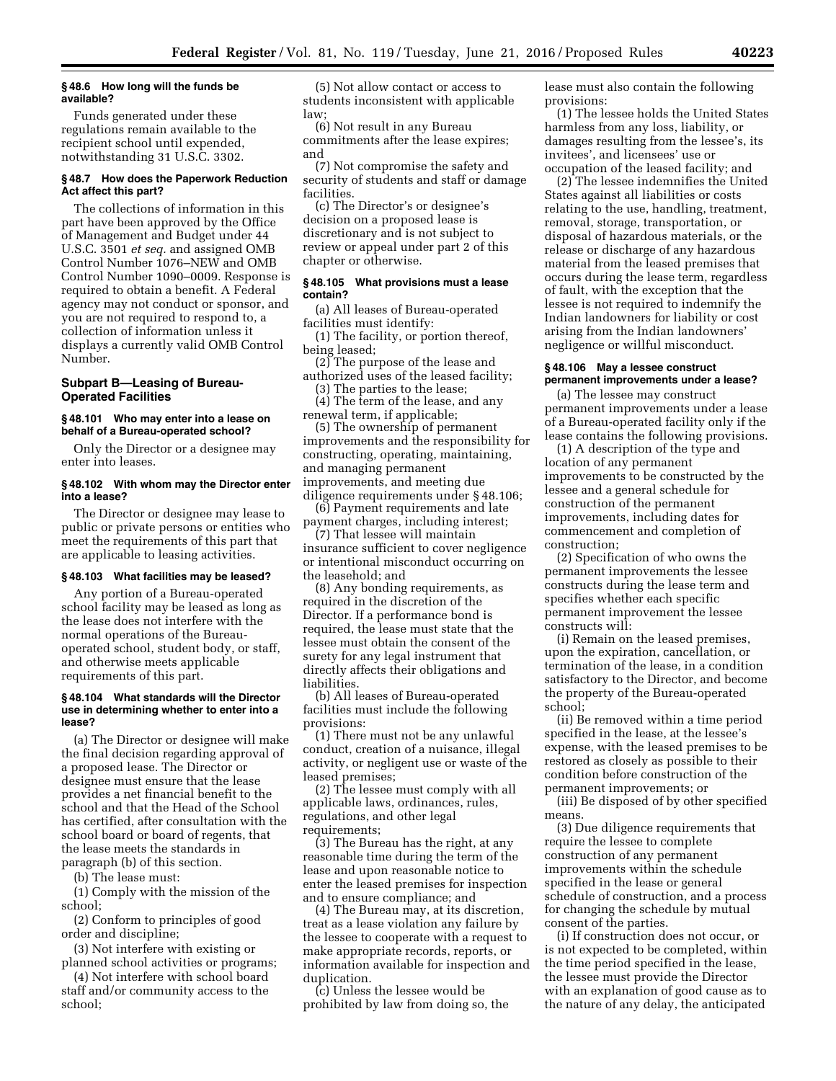### **§ 48.6 How long will the funds be available?**

Funds generated under these regulations remain available to the recipient school until expended, notwithstanding 31 U.S.C. 3302.

### **§ 48.7 How does the Paperwork Reduction Act affect this part?**

The collections of information in this part have been approved by the Office of Management and Budget under 44 U.S.C. 3501 *et seq.* and assigned OMB Control Number 1076–NEW and OMB Control Number 1090–0009. Response is required to obtain a benefit. A Federal agency may not conduct or sponsor, and you are not required to respond to, a collection of information unless it displays a currently valid OMB Control Number.

## **Subpart B—Leasing of Bureau-Operated Facilities**

### **§ 48.101 Who may enter into a lease on behalf of a Bureau-operated school?**

Only the Director or a designee may enter into leases.

# **§ 48.102 With whom may the Director enter into a lease?**

The Director or designee may lease to public or private persons or entities who meet the requirements of this part that are applicable to leasing activities.

# **§ 48.103 What facilities may be leased?**

Any portion of a Bureau-operated school facility may be leased as long as the lease does not interfere with the normal operations of the Bureauoperated school, student body, or staff, and otherwise meets applicable requirements of this part.

### **§ 48.104 What standards will the Director use in determining whether to enter into a lease?**

(a) The Director or designee will make the final decision regarding approval of a proposed lease. The Director or designee must ensure that the lease provides a net financial benefit to the school and that the Head of the School has certified, after consultation with the school board or board of regents, that the lease meets the standards in paragraph (b) of this section.

(b) The lease must:

(1) Comply with the mission of the school;

(2) Conform to principles of good order and discipline;

(3) Not interfere with existing or planned school activities or programs;

(4) Not interfere with school board staff and/or community access to the school;

(5) Not allow contact or access to students inconsistent with applicable law;

(6) Not result in any Bureau commitments after the lease expires; and

(7) Not compromise the safety and security of students and staff or damage facilities.

(c) The Director's or designee's decision on a proposed lease is discretionary and is not subject to review or appeal under part 2 of this chapter or otherwise.

### **§ 48.105 What provisions must a lease contain?**

(a) All leases of Bureau-operated facilities must identify:

(1) The facility, or portion thereof, being leased;

(2) The purpose of the lease and authorized uses of the leased facility;

(3) The parties to the lease; (4) The term of the lease, and any

renewal term, if applicable; (5) The ownership of permanent

improvements and the responsibility for constructing, operating, maintaining, and managing permanent improvements, and meeting due

diligence requirements under § 48.106; (6) Payment requirements and late

payment charges, including interest; (7) That lessee will maintain insurance sufficient to cover negligence or intentional misconduct occurring on the leasehold; and

(8) Any bonding requirements, as required in the discretion of the Director. If a performance bond is required, the lease must state that the lessee must obtain the consent of the surety for any legal instrument that directly affects their obligations and liabilities.

(b) All leases of Bureau-operated facilities must include the following provisions:

(1) There must not be any unlawful conduct, creation of a nuisance, illegal activity, or negligent use or waste of the leased premises;

(2) The lessee must comply with all applicable laws, ordinances, rules, regulations, and other legal requirements;

(3) The Bureau has the right, at any reasonable time during the term of the lease and upon reasonable notice to enter the leased premises for inspection and to ensure compliance; and

(4) The Bureau may, at its discretion, treat as a lease violation any failure by the lessee to cooperate with a request to make appropriate records, reports, or information available for inspection and duplication.

(c) Unless the lessee would be prohibited by law from doing so, the lease must also contain the following provisions:

(1) The lessee holds the United States harmless from any loss, liability, or damages resulting from the lessee's, its invitees', and licensees' use or occupation of the leased facility; and

(2) The lessee indemnifies the United States against all liabilities or costs relating to the use, handling, treatment, removal, storage, transportation, or disposal of hazardous materials, or the release or discharge of any hazardous material from the leased premises that occurs during the lease term, regardless of fault, with the exception that the lessee is not required to indemnify the Indian landowners for liability or cost arising from the Indian landowners' negligence or willful misconduct.

#### **§ 48.106 May a lessee construct permanent improvements under a lease?**

(a) The lessee may construct permanent improvements under a lease of a Bureau-operated facility only if the lease contains the following provisions.

(1) A description of the type and location of any permanent improvements to be constructed by the lessee and a general schedule for construction of the permanent improvements, including dates for commencement and completion of construction;

(2) Specification of who owns the permanent improvements the lessee constructs during the lease term and specifies whether each specific permanent improvement the lessee constructs will:

(i) Remain on the leased premises, upon the expiration, cancellation, or termination of the lease, in a condition satisfactory to the Director, and become the property of the Bureau-operated school;

(ii) Be removed within a time period specified in the lease, at the lessee's expense, with the leased premises to be restored as closely as possible to their condition before construction of the permanent improvements; or

(iii) Be disposed of by other specified means.

(3) Due diligence requirements that require the lessee to complete construction of any permanent improvements within the schedule specified in the lease or general schedule of construction, and a process for changing the schedule by mutual consent of the parties.

(i) If construction does not occur, or is not expected to be completed, within the time period specified in the lease, the lessee must provide the Director with an explanation of good cause as to the nature of any delay, the anticipated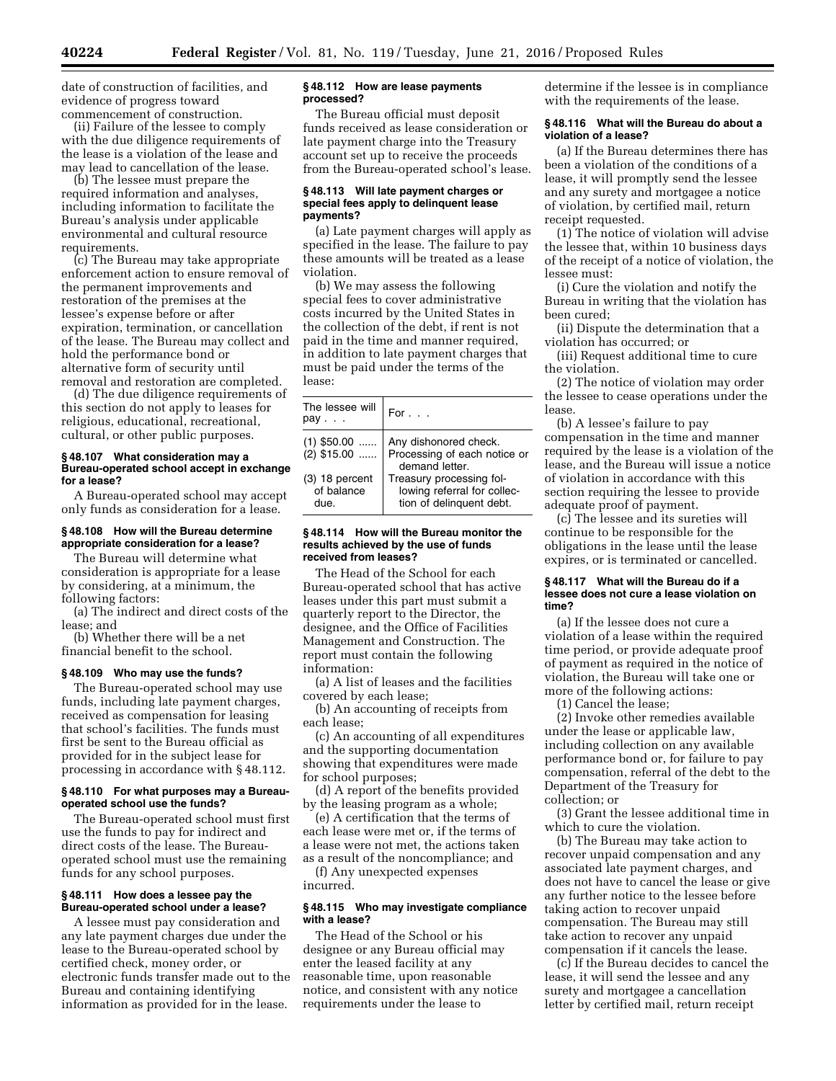date of construction of facilities, and evidence of progress toward commencement of construction.

(ii) Failure of the lessee to comply with the due diligence requirements of the lease is a violation of the lease and may lead to cancellation of the lease.

(b) The lessee must prepare the required information and analyses, including information to facilitate the Bureau's analysis under applicable environmental and cultural resource requirements.

(c) The Bureau may take appropriate enforcement action to ensure removal of the permanent improvements and restoration of the premises at the lessee's expense before or after expiration, termination, or cancellation of the lease. The Bureau may collect and hold the performance bond or alternative form of security until removal and restoration are completed.

(d) The due diligence requirements of this section do not apply to leases for religious, educational, recreational, cultural, or other public purposes.

#### **§ 48.107 What consideration may a Bureau-operated school accept in exchange for a lease?**

A Bureau-operated school may accept only funds as consideration for a lease.

## **§ 48.108 How will the Bureau determine appropriate consideration for a lease?**

The Bureau will determine what consideration is appropriate for a lease by considering, at a minimum, the following factors:

(a) The indirect and direct costs of the lease; and

(b) Whether there will be a net financial benefit to the school.

# **§ 48.109 Who may use the funds?**

The Bureau-operated school may use funds, including late payment charges, received as compensation for leasing that school's facilities. The funds must first be sent to the Bureau official as provided for in the subject lease for processing in accordance with § 48.112.

#### **§ 48.110 For what purposes may a Bureauoperated school use the funds?**

The Bureau-operated school must first use the funds to pay for indirect and direct costs of the lease. The Bureauoperated school must use the remaining funds for any school purposes.

### **§ 48.111 How does a lessee pay the Bureau-operated school under a lease?**

A lessee must pay consideration and any late payment charges due under the lease to the Bureau-operated school by certified check, money order, or electronic funds transfer made out to the Bureau and containing identifying information as provided for in the lease.

#### **§ 48.112 How are lease payments processed?**

The Bureau official must deposit funds received as lease consideration or late payment charge into the Treasury account set up to receive the proceeds from the Bureau-operated school's lease.

### **§ 48.113 Will late payment charges or special fees apply to delinquent lease payments?**

(a) Late payment charges will apply as specified in the lease. The failure to pay these amounts will be treated as a lease violation.

(b) We may assess the following special fees to cover administrative costs incurred by the United States in the collection of the debt, if rent is not paid in the time and manner required, in addition to late payment charges that must be paid under the terms of the lease:

| The lessee will<br>$pav \dots$         | For $\ldots$                                                                        |
|----------------------------------------|-------------------------------------------------------------------------------------|
| $(1)$ \$50.00<br>$(2)$ \$15.00         | Any dishonored check.<br>Processing of each notice or<br>demand letter.             |
| $(3)$ 18 percent<br>of balance<br>due. | Treasury processing fol-<br>lowing referral for collec-<br>tion of delinquent debt. |

#### **§ 48.114 How will the Bureau monitor the results achieved by the use of funds received from leases?**

The Head of the School for each Bureau-operated school that has active leases under this part must submit a quarterly report to the Director, the designee, and the Office of Facilities Management and Construction. The report must contain the following information:

(a) A list of leases and the facilities covered by each lease;

(b) An accounting of receipts from each lease;

(c) An accounting of all expenditures and the supporting documentation showing that expenditures were made for school purposes;

(d) A report of the benefits provided by the leasing program as a whole;

(e) A certification that the terms of each lease were met or, if the terms of a lease were not met, the actions taken as a result of the noncompliance; and

(f) Any unexpected expenses incurred.

### **§ 48.115 Who may investigate compliance with a lease?**

The Head of the School or his designee or any Bureau official may enter the leased facility at any reasonable time, upon reasonable notice, and consistent with any notice requirements under the lease to

determine if the lessee is in compliance with the requirements of the lease.

## **§ 48.116 What will the Bureau do about a violation of a lease?**

(a) If the Bureau determines there has been a violation of the conditions of a lease, it will promptly send the lessee and any surety and mortgagee a notice of violation, by certified mail, return receipt requested.

(1) The notice of violation will advise the lessee that, within 10 business days of the receipt of a notice of violation, the lessee must:

(i) Cure the violation and notify the Bureau in writing that the violation has been cured;

(ii) Dispute the determination that a violation has occurred; or

(iii) Request additional time to cure the violation.

(2) The notice of violation may order the lessee to cease operations under the lease.

(b) A lessee's failure to pay compensation in the time and manner required by the lease is a violation of the lease, and the Bureau will issue a notice of violation in accordance with this section requiring the lessee to provide adequate proof of payment.

(c) The lessee and its sureties will continue to be responsible for the obligations in the lease until the lease expires, or is terminated or cancelled.

### **§ 48.117 What will the Bureau do if a lessee does not cure a lease violation on time?**

(a) If the lessee does not cure a violation of a lease within the required time period, or provide adequate proof of payment as required in the notice of violation, the Bureau will take one or more of the following actions:

(1) Cancel the lease;

(2) Invoke other remedies available under the lease or applicable law, including collection on any available performance bond or, for failure to pay compensation, referral of the debt to the Department of the Treasury for collection; or

(3) Grant the lessee additional time in which to cure the violation.

(b) The Bureau may take action to recover unpaid compensation and any associated late payment charges, and does not have to cancel the lease or give any further notice to the lessee before taking action to recover unpaid compensation. The Bureau may still take action to recover any unpaid compensation if it cancels the lease.

(c) If the Bureau decides to cancel the lease, it will send the lessee and any surety and mortgagee a cancellation letter by certified mail, return receipt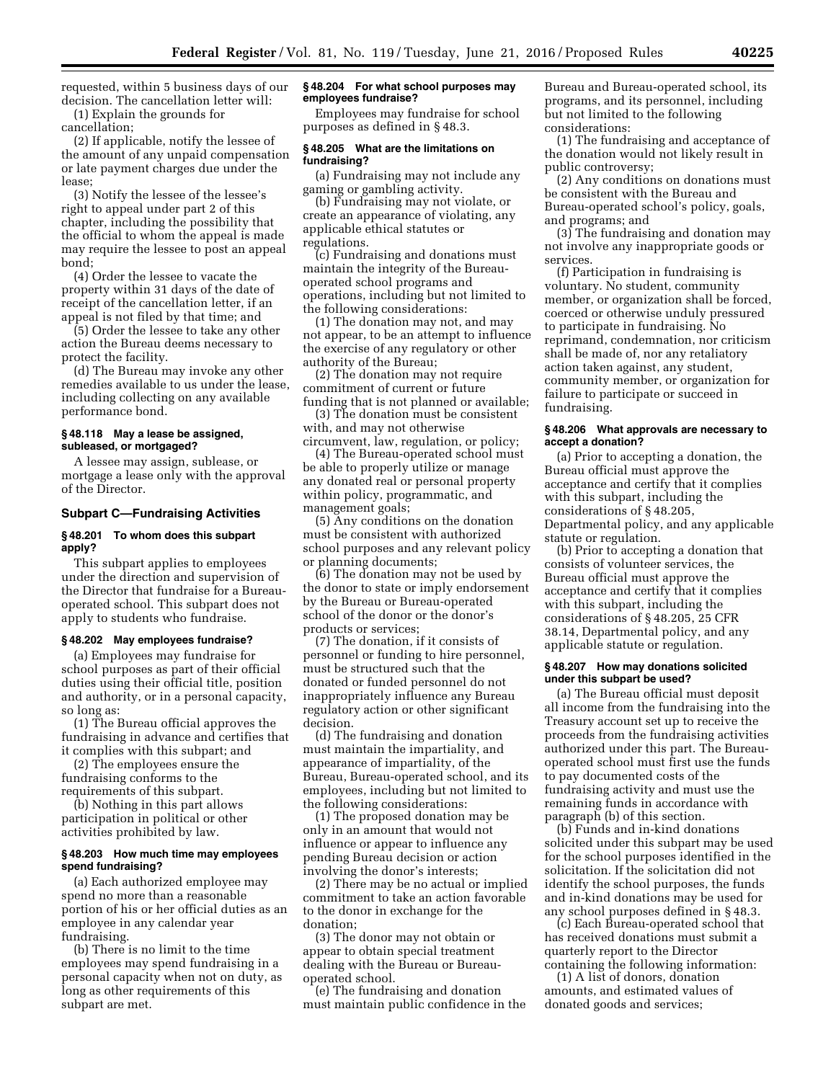requested, within 5 business days of our decision. The cancellation letter will: (1) Explain the grounds for

cancellation;

(2) If applicable, notify the lessee of the amount of any unpaid compensation or late payment charges due under the lease;

(3) Notify the lessee of the lessee's right to appeal under part 2 of this chapter, including the possibility that the official to whom the appeal is made may require the lessee to post an appeal bond;

(4) Order the lessee to vacate the property within 31 days of the date of receipt of the cancellation letter, if an appeal is not filed by that time; and

(5) Order the lessee to take any other action the Bureau deems necessary to protect the facility.

(d) The Bureau may invoke any other remedies available to us under the lease, including collecting on any available performance bond.

### **§ 48.118 May a lease be assigned, subleased, or mortgaged?**

A lessee may assign, sublease, or mortgage a lease only with the approval of the Director.

#### **Subpart C—Fundraising Activities**

### **§ 48.201 To whom does this subpart apply?**

This subpart applies to employees under the direction and supervision of the Director that fundraise for a Bureauoperated school. This subpart does not apply to students who fundraise.

#### **§ 48.202 May employees fundraise?**

(a) Employees may fundraise for school purposes as part of their official duties using their official title, position and authority, or in a personal capacity, so long as:

(1) The Bureau official approves the fundraising in advance and certifies that it complies with this subpart; and

(2) The employees ensure the fundraising conforms to the requirements of this subpart.

(b) Nothing in this part allows participation in political or other activities prohibited by law.

### **§ 48.203 How much time may employees spend fundraising?**

(a) Each authorized employee may spend no more than a reasonable portion of his or her official duties as an employee in any calendar year fundraising.

(b) There is no limit to the time employees may spend fundraising in a personal capacity when not on duty, as long as other requirements of this subpart are met.

#### **§ 48.204 For what school purposes may employees fundraise?**

Employees may fundraise for school purposes as defined in § 48.3.

## **§ 48.205 What are the limitations on fundraising?**

(a) Fundraising may not include any gaming or gambling activity.

(b) Fundraising may not violate, or create an appearance of violating, any applicable ethical statutes or regulations.

(c) Fundraising and donations must maintain the integrity of the Bureauoperated school programs and operations, including but not limited to the following considerations:

(1) The donation may not, and may not appear, to be an attempt to influence the exercise of any regulatory or other authority of the Bureau;

(2) The donation may not require commitment of current or future funding that is not planned or available;

(3) The donation must be consistent with, and may not otherwise circumvent, law, regulation, or policy;

(4) The Bureau-operated school must be able to properly utilize or manage any donated real or personal property within policy, programmatic, and management goals;

(5) Any conditions on the donation must be consistent with authorized school purposes and any relevant policy or planning documents;

(6) The donation may not be used by the donor to state or imply endorsement by the Bureau or Bureau-operated school of the donor or the donor's products or services;

(7) The donation, if it consists of personnel or funding to hire personnel, must be structured such that the donated or funded personnel do not inappropriately influence any Bureau regulatory action or other significant decision.

(d) The fundraising and donation must maintain the impartiality, and appearance of impartiality, of the Bureau, Bureau-operated school, and its employees, including but not limited to the following considerations:

(1) The proposed donation may be only in an amount that would not influence or appear to influence any pending Bureau decision or action involving the donor's interests;

(2) There may be no actual or implied commitment to take an action favorable to the donor in exchange for the donation;

(3) The donor may not obtain or appear to obtain special treatment dealing with the Bureau or Bureauoperated school.

(e) The fundraising and donation must maintain public confidence in the Bureau and Bureau-operated school, its programs, and its personnel, including but not limited to the following considerations:

(1) The fundraising and acceptance of the donation would not likely result in public controversy;

(2) Any conditions on donations must be consistent with the Bureau and Bureau-operated school's policy, goals, and programs; and

(3) The fundraising and donation may not involve any inappropriate goods or services.

(f) Participation in fundraising is voluntary. No student, community member, or organization shall be forced, coerced or otherwise unduly pressured to participate in fundraising. No reprimand, condemnation, nor criticism shall be made of, nor any retaliatory action taken against, any student, community member, or organization for failure to participate or succeed in fundraising.

### **§ 48.206 What approvals are necessary to accept a donation?**

(a) Prior to accepting a donation, the Bureau official must approve the acceptance and certify that it complies with this subpart, including the considerations of § 48.205, Departmental policy, and any applicable statute or regulation.

(b) Prior to accepting a donation that consists of volunteer services, the Bureau official must approve the acceptance and certify that it complies with this subpart, including the considerations of § 48.205, 25 CFR 38.14, Departmental policy, and any applicable statute or regulation.

### **§ 48.207 How may donations solicited under this subpart be used?**

(a) The Bureau official must deposit all income from the fundraising into the Treasury account set up to receive the proceeds from the fundraising activities authorized under this part. The Bureauoperated school must first use the funds to pay documented costs of the fundraising activity and must use the remaining funds in accordance with paragraph (b) of this section.

(b) Funds and in-kind donations solicited under this subpart may be used for the school purposes identified in the solicitation. If the solicitation did not identify the school purposes, the funds and in-kind donations may be used for any school purposes defined in § 48.3.

(c) Each Bureau-operated school that has received donations must submit a quarterly report to the Director containing the following information:

(1) A list of donors, donation amounts, and estimated values of donated goods and services;